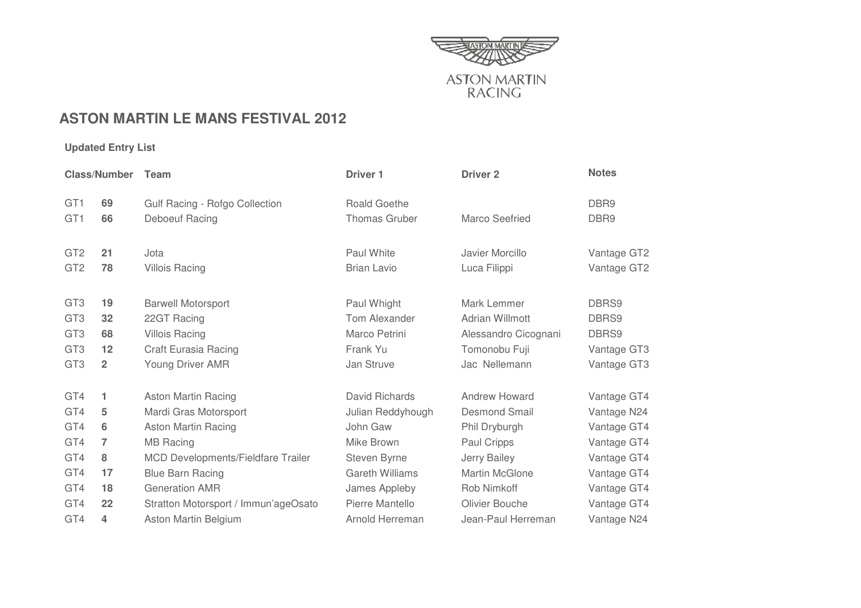

## **ASTON MARTIN LE MANS FESTIVAL 2012**

## **Updated Entry List**

| <b>Class/Number</b> |                         | Team                                      | Driver <sub>1</sub>    | <b>Driver 2</b>       | <b>Notes</b>     |
|---------------------|-------------------------|-------------------------------------------|------------------------|-----------------------|------------------|
| GT <sub>1</sub>     | 69                      | Gulf Racing - Rofgo Collection            | <b>Roald Goethe</b>    |                       | DBR <sub>9</sub> |
| GT <sub>1</sub>     | 66                      | Deboeuf Racing                            | <b>Thomas Gruber</b>   | Marco Seefried        | DBR <sub>9</sub> |
| GT <sub>2</sub>     | 21                      | Jota                                      | Paul White             | Javier Morcillo       | Vantage GT2      |
| GT <sub>2</sub>     | 78                      | <b>Villois Racing</b>                     | <b>Brian Lavio</b>     | Luca Filippi          | Vantage GT2      |
| GT <sub>3</sub>     | 19                      | <b>Barwell Motorsport</b>                 | Paul Whight            | Mark Lemmer           | DBRS9            |
| GT <sub>3</sub>     | 32                      | 22GT Racing                               | Tom Alexander          | Adrian Willmott       | DBRS9            |
| GT <sub>3</sub>     | 68                      | <b>Villois Racing</b>                     | Marco Petrini          | Alessandro Cicognani  | DBRS9            |
| GT <sub>3</sub>     | 12                      | Craft Eurasia Racing                      | Frank Yu               | Tomonobu Fuji         | Vantage GT3      |
| GT <sub>3</sub>     | $\overline{\mathbf{2}}$ | Young Driver AMR                          | Jan Struve             | Jac Nellemann         | Vantage GT3      |
| GT4                 | 1                       | <b>Aston Martin Racing</b>                | David Richards         | Andrew Howard         | Vantage GT4      |
| GT4                 | 5                       | Mardi Gras Motorsport                     | Julian Reddyhough      | <b>Desmond Smail</b>  | Vantage N24      |
| GT4                 | 6                       | <b>Aston Martin Racing</b>                | John Gaw               | Phil Dryburgh         | Vantage GT4      |
| GT4                 | 7                       | <b>MB Racing</b>                          | Mike Brown             | Paul Cripps           | Vantage GT4      |
| GT4                 | 8                       | <b>MCD Developments/Fieldfare Trailer</b> | Steven Byrne           | Jerry Bailey          | Vantage GT4      |
| GT4                 | 17                      | <b>Blue Barn Racing</b>                   | <b>Gareth Williams</b> | <b>Martin McGlone</b> | Vantage GT4      |
| GT4                 | 18                      | <b>Generation AMR</b>                     | James Appleby          | Rob Nimkoff           | Vantage GT4      |
| GT4                 | 22                      | Stratton Motorsport / Immun'ageOsato      | Pierre Mantello        | Olivier Bouche        | Vantage GT4      |
| GT4                 | 4                       | Aston Martin Belgium                      | Arnold Herreman        | Jean-Paul Herreman    | Vantage N24      |